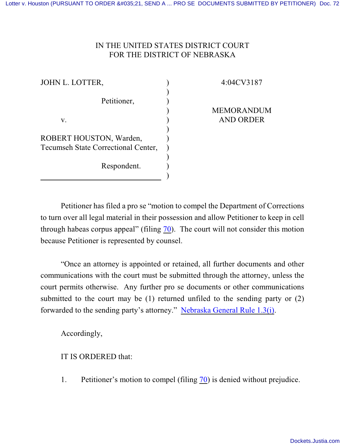## IN THE UNITED STATES DISTRICT COURT FOR THE DISTRICT OF NEBRASKA

) ) ) ) ) ) ) ) ) ) )

JOHN L. LOTTER,

Petitioner,

4:04CV3187

MEMORANDUM AND ORDER

v.

ROBERT HOUSTON, Warden, Tecumseh State Correctional Center,

Respondent.

Petitioner has filed a pro se "motion to compel the Department of Corrections to turn over all legal material in their possession and allow Petitioner to keep in cell through habeas corpus appeal" (filing  $\frac{70}{10}$ ). The court will not consider this motion because Petitioner is represented by counsel.

"Once an attorney is appointed or retained, all further documents and other communications with the court must be submitted through the attorney, unless the court permits otherwise. Any further pro se documents or other communications submitted to the court may be (1) returned unfiled to the sending party or (2) forwarded to the sending party's attorney." [Nebraska General Rule 1.3\(i\)](http://www.ned.uscourts.gov/localrules/rules09/NEGenR/1.3.pdf).

Accordingly,

IT IS ORDERED that:

1. Petitioner's motion to compel (filing [70](https://ecf.ned.uscourts.gov/doc1/11312112438)) is denied without prejudice.